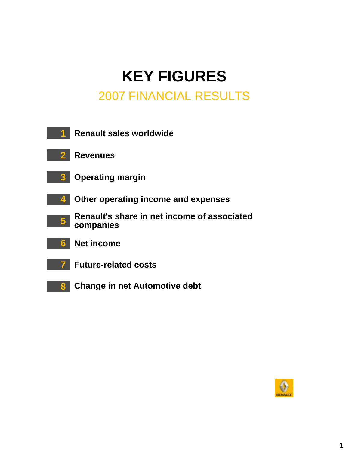# **KEY FIGURES** 2007 FINANCIAL RESULTS

|                | <b>Renault sales worldwide</b>                           |
|----------------|----------------------------------------------------------|
| 2              | <b>Revenues</b>                                          |
|                | <b>3</b> Operating margin                                |
| 4              | Other operating income and expenses                      |
| 5 <sub>1</sub> | Renault's share in net income of associated<br>companies |
| 6              | <b>Net income</b>                                        |
|                | <b>Future-related costs</b>                              |
| 8              | <b>Change in net Automotive debt</b>                     |

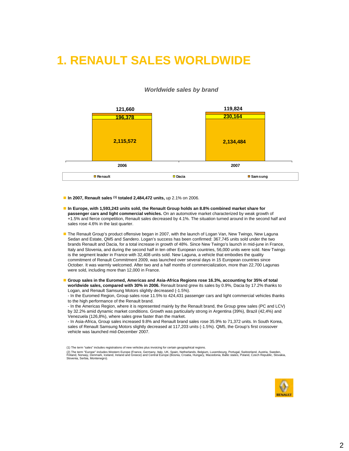### **1. RENAULT SALES WORLDWIDE**

#### *Worldwide sales by brand*



! **In 2007, Renault sales (1) totaled 2,484,472 units,** up 2.1% on 2006.

- ! **In Europe, with 1,593,243 units sold, the Renault Group holds an 8.8% combined market share for passenger cars and light commercial vehicles.** On an automotive market characterized by weak growth of +1.5% and fierce competition, Renault sales decreased by 4.1%. The situation turned around in the second half and sales rose 4.6% in the last quarter.
- **The Renault Group's product offensive began in 2007, with the launch of Logan Van, New Twingo, New Laguna** Sedan and Estate, QM5 and Sandero. Logan's success has been confirmed: 367,745 units sold under the two brands Renault and Dacia, for a total increase in growth of 48%. Since New Twingo's launch in mid-june in France, Italy and Slovenia, and during the second half in ten other European countries, 56,000 units were sold. New Twingo is the segment leader in France with 32,408 units sold. New Laguna, a vehicle that embodies the quality commitment of Renault Commitment 2009, was launched over several days in 15 European countries since October. It was warmly welcomed. After two and a half months of commercialization, more than 22,700 Lagunas were sold, including more than 12,000 in France.
- Group sales in the Euromed, Americas and Asia-Africa Regions rose 16.3%, accounting for 35% of total **worldwide sales, compared with 30% in 2006.** Renault brand grew its sales by 0.9%, Dacia by 17.2% thanks to Logan, and Renault Samsung Motors slightly decreased (-1.5%).

- In the Euromed Region, Group sales rose 11.5% to 424,431 passenger cars and light commercial vehicles thanks to the high performance of the Renault brand.

- In the Americas Region, where it is represented mainly by the Renault brand, the Group grew sales (PC and LCV) by 32.2% amid dynamic market conditions. Growth was particularly strong in Argentina (39%), Brazil (42,4%) and Venezuela (126,8%), where sales grew faster than the market.

- In Asia-Africa, Group sales increased 9.8% and Renault brand sales rose 35.9% to 71,372 units. In South Korea, sales of Renault Samsung Motors slightly decreased at 117,203 units (-1.5%). QM5, the Group's first crossover vehicle was launched mid-December 2007.

<sup>(2)</sup> The term "Europe" includes Western Europe (France, Germany, Italy, UK, Spain, Netherlands, Belgium, Luxembourg, Portugal, Switzerland, Austria, Sweden,<br>Finland, Norway, Denmark, Iceland, Ireland and Greece) and Central Slovenia, Serbia, Montenegro).



<sup>(1)</sup> The term "sales" includes registrations of new vehicles plus invoicing for certain geographical regions.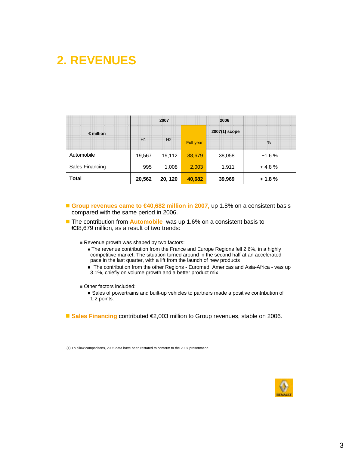## **2. REVENUES**

|                    | 2007   |         |                  | 2006          |               |
|--------------------|--------|---------|------------------|---------------|---------------|
| $\epsilon$ million | H1     | H2      | <b>Full year</b> | 2007(1) scope | $\frac{0}{0}$ |
| Automobile         | 19,567 | 19,112  | 38,679           | 38,058        | $+1.6%$       |
| Sales Financing    | 995    | 1,008   | 2,003            | 1,911         | $+4.8%$       |
| <b>Total</b>       | 20,562 | 20, 120 | 40,682           | 39,969        | $+1.8%$       |

■ Group revenues came to <del>€4</del>0,682 million in 2007, up 1.8% on a consistent basis compared with the same period in 2006.

- **T** The contribution from **Automobile** was up 1.6% on a consistent basis to €38,679 million, as a result of two trends:
	- Revenue growth was shaped by two factors:
		- **. The revenue contribution from the France and Europe Regions fell 2.6%, in a highly** competitive market. The situation turned around in the second half at an accelerated pace in the last quarter, with a lift from the launch of new products
		- **The contribution from the other Regions Euromed, Americas and Asia-Africa was up** 3.1%, chiefly on volume growth and a better product mix
	- **Other factors included:** 
		- **.** Sales of powertrains and built-up vehicles to partners made a positive contribution of 1.2 points.
- Sales Financing contributed €2,003 million to Group revenues, stable on 2006.

(1) To allow comparisons, 2006 data have been restated to conform to the 2007 presentation.

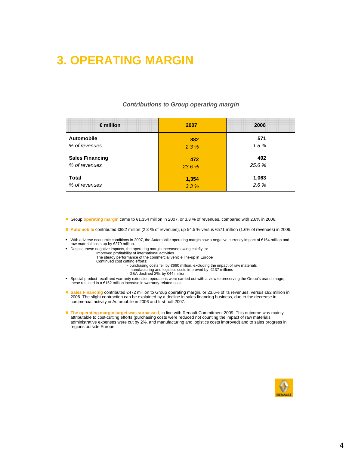## **3. OPERATING MARGIN**

| $\epsilon$ million     | 2007   | 2006   |
|------------------------|--------|--------|
| <b>Automobile</b>      | 882    | 571    |
| % of revenues          | 2.3%   | 1.5%   |
| <b>Sales Financing</b> | 472    | 492    |
| % of revenues          | 23.6 % | 25.6 % |
| <b>Total</b>           | 1,354  | 1,063  |
| % of revenues          | 3.3%   | 2.6%   |

#### *Contributions to Group operating margin*

- ! Group **operating margin** came to €1,354 million in 2007, or 3.3 % of revenues, compared with 2.6% in 2006.
- ! **Automobile** contributed €882 million (2.3 % of revenues), up 54.5 % versus €571 million (1.6% of revenues) in 2006.
- " With adverse economic conditions in 2007, the Automobile operating margin saw a negative currency impact of €154 million and raw material costs up by €270 million.
- " Despite these negative impacts, the operating margin increased owing chiefly to: Improved profitability of international activities The steady performance of the commercial vehicle line-up in Europe
	-
	- Continued cost cutting efforts:
		- purchasing costs fell by €660 million, excluding the impact of raw materials manufacturing and logistics costs improved by €137 millions G&A declined 2%, by €44 million.
		-
- " Special product-recall and warranty extension operations were carried out with a view to preserving the Group's brand image; these resulted in a €152 million increase in warranty-related costs.
- **Sales Financing contributed €472 million to Group operating margin, or 23.6% of its revenues, versus <del>€</del>92 million in** 2006. The slight contraction can be explained by a decline in sales financing business, due to the decrease in commercial activity in Automobile in 2006 and first-half 2007.
- **The operating margin target was surpassed**, in line with Renault Commitment 2009. This outcome was mainly attributable to cost-cutting efforts (purchasing costs were reduced not counting the impact of raw materials, administrative expenses were cut by 2%, and manufacturing and logistics costs improved) and to sales progress in regions outside Europe.

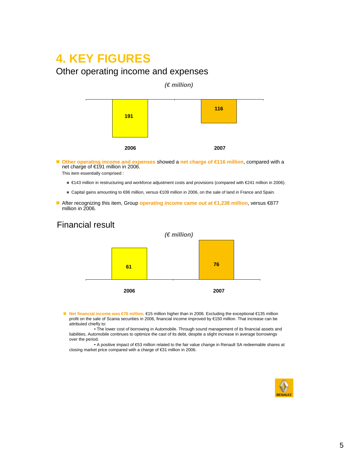### **4. KEY FIGURES**

### Other operating income and expenses



■ Other operating income and expenses showed a net charge of €116 million, compared with a net charge of €191 million in 2006.

This item essentially comprised :

- **€143 million in restructuring and workforce adjustment costs and provisions (compared with €241 million in 2006).**
- ! Capital gains amounting to €86 million, versus €109 million in 2006, on the sale of land in France and Spain.
- ! After recognizing this item, Group **operating income came out at €1,238 million**, versus €877 million in 2006.

### Financial result



- ! **Net financial income was €76 million,** €15 million higher than in 2006. Excluding the exceptional €135 million profit on the sale of Scania securities in 2006, financial income improved by €150 million. That increase can be attributed chiefly to:
	- The lower cost of borrowing in Automobile. Through sound management of its financial assets and liabilities, Automobile continues to optimize the cast of its debt, despite a slight increase in average borrowings over the period.
	- A positive impact of €53 million related to the fair value change in Renault SA redeemable shares at closing market price compared with a charge of €31 million in 2006.

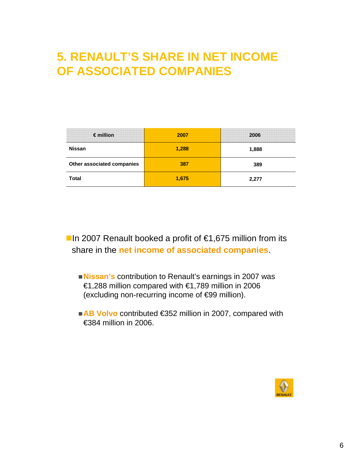## **5. RENAULT'S SHARE IN NET INCOME OF ASSOCIATED COMPANIES**

| $\epsilon$ million         | 2007  | 2006  |
|----------------------------|-------|-------|
| <b>Nissan</b>              | 1,288 | 1,888 |
| Other associated companies | 387   | 389   |
| <b>Total</b>               | 1,675 | 2,277 |

**■In 2007 Renault booked a profit of**  $€1,675$  **million from its** share in the **net income of associated companies**.

- !**Nissan's** contribution to Renault's earnings in 2007 was €1,288 million compared with €1,789 million in 2006 (excluding non-recurring income of €99 million).
- AB Volvo contributed €352 million in 2007, compared with €384 million in 2006.

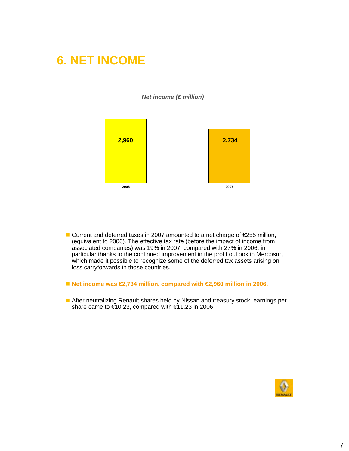### **6. NET INCOME**



*Net income (€ million)* 

- Current and deferred taxes in 2007 amounted to a net charge of €255 million, (equivalent to 2006). The effective tax rate (before the impact of income from associated companies) was 19% in 2007, compared with 27% in 2006, in particular thanks to the continued improvement in the profit outlook in Mercosur, which made it possible to recognize some of the deferred tax assets arising on loss carryforwards in those countries.
- Net income was  $\bigoplus$ ,734 million, compared with  $\bigoplus$ ,960 million in 2006.
- After neutralizing Renault shares held by Nissan and treasury stock, earnings per share came to  $\epsilon$ 10.23, compared with  $\epsilon$ 1.23 in 2006.

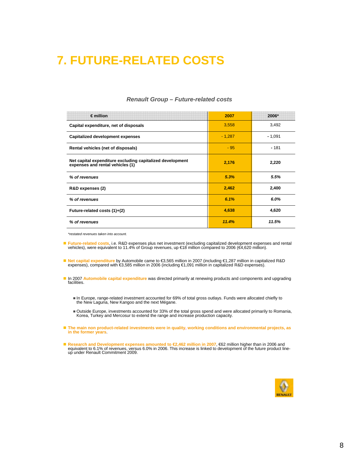### **7. FUTURE-RELATED COSTS**

| $\epsilon$ million                                                                            | 2007     | 2006*    |
|-----------------------------------------------------------------------------------------------|----------|----------|
| Capital expenditure, net of disposals                                                         | 3,558    | 3,492    |
| <b>Capitalized development expenses</b>                                                       | $-1,287$ | $-1,091$ |
| Rental vehicles (net of disposals)                                                            | $-95$    | $-181$   |
| Net capital expenditure excluding capitalized development<br>expenses and rental vehicles (1) | 2,176    | 2,220    |
| % of revenues                                                                                 | 5.3%     | 5.5%     |
| R&D expenses (2)                                                                              | 2,462    | 2,400    |
| % of revenues                                                                                 | 6.1%     | 6.0%     |
| Future-related costs (1)+(2)                                                                  | 4,638    | 4,620    |
| % of revenues                                                                                 | 11.4%    | 11.5%    |

### *Renault Group – Future-related costs*

*\*restated revenues taken into account.*

- **Future-related costs,** i.e. R&D expenses plus net investment (excluding capitalized development expenses and rental vehicles), were equivalent to 11.4% of Group revenues, up €18 million compared to 2006 (€4,620 million
- **Net capital expenditure** by Automobile came to €3,565 million in 2007 (including €1,287 million in capitalized R&D<br>expenses), compared with €3,585 million in 2006 (including €1,091 million in capitalized R&D expenses).
- ! In 2007 **Automobile capital expenditure** was directed primarily at renewing products and components and upgrading facilities.
	- ! In Europe, range-related investment accounted for 69% of total gross outlays. Funds were allocated chiefly to the New Laguna, New Kangoo and the next Mégane.
	- ! Outside Europe, investments accounted for 33% of the total gross spend and were allocated primarily to Romania, Korea, Turkey and Mercosur to extend the range and increase production capacity.
- ! **The main non product-related investments were in quality, working conditions and environmental projects, as in the former years**.
- ! **Research and Development expenses amounted to €2,462 million in 2007**, €62 million higher than in 2006 and equivalent to 6.1% of revenues, versus 6.0% in 2006. This increase is linked to development of the future product line-up under Renault Commitment 2009.